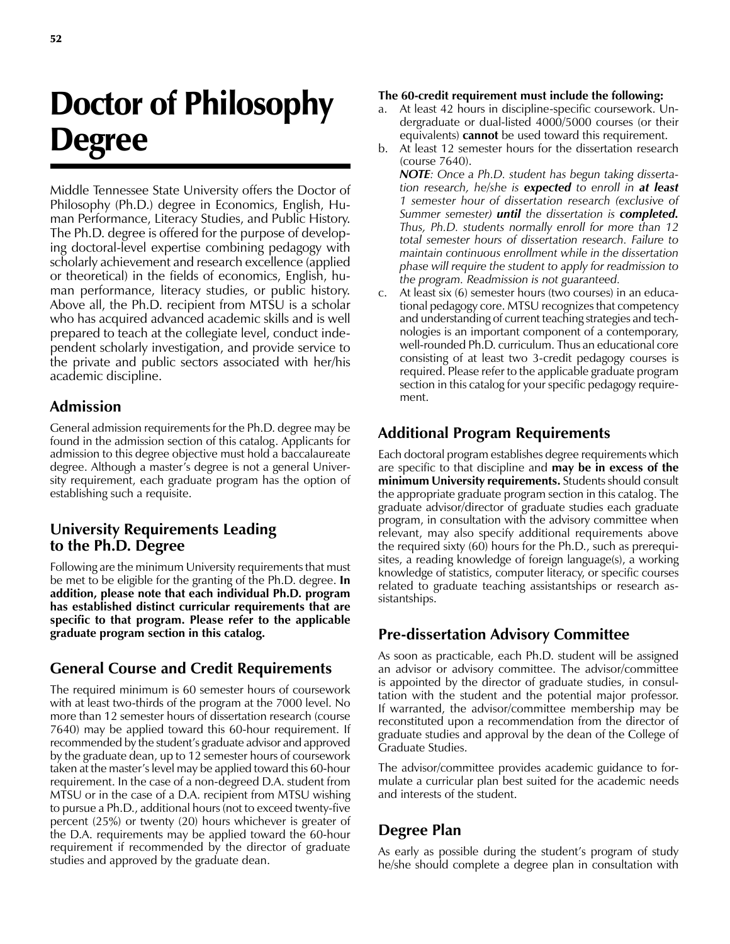# Doctor of Philosophy Degree

Middle Tennessee State University offers the Doctor of Philosophy (Ph.D.) degree in Economics, English, Human Performance, Literacy Studies, and Public History. The Ph.D. degree is offered for the purpose of developing doctoral-level expertise combining pedagogy with scholarly achievement and research excellence (applied or theoretical) in the fields of economics, English, human performance, literacy studies, or public history. Above all, the Ph.D. recipient from MTSU is a scholar who has acquired advanced academic skills and is well prepared to teach at the collegiate level, conduct independent scholarly investigation, and provide service to the private and public sectors associated with her/his academic discipline.

## **Admission**

General admission requirements for the Ph.D. degree may be found in the admission section of this catalog. Applicants for admission to this degree objective must hold a baccalaureate degree. Although a master's degree is not a general University requirement, each graduate program has the option of establishing such a requisite.

## **University Requirements Leading to the Ph.D. Degree**

Following are the minimum University requirements that must be met to be eligible for the granting of the Ph.D. degree. **In addition, please note that each individual Ph.D. program has established distinct curricular requirements that are specific to that program. Please refer to the applicable graduate program section in this catalog.**

# **General Course and Credit Requirements**

The required minimum is 60 semester hours of coursework with at least two-thirds of the program at the 7000 level. No more than 12 semester hours of dissertation research (course 7640) may be applied toward this 60-hour requirement. If recommended by the student's graduate advisor and approved by the graduate dean, up to 12 semester hours of coursework taken at the master's level may be applied toward this 60-hour requirement. In the case of a non-degreed D.A. student from MTSU or in the case of a D.A. recipient from MTSU wishing to pursue a Ph.D., additional hours (not to exceed twenty-five percent (25%) or twenty (20) hours whichever is greater of the D.A. requirements may be applied toward the 60-hour requirement if recommended by the director of graduate studies and approved by the graduate dean.

#### **The 60-credit requirement must include the following:**

- a. At least 42 hours in discipline-specific coursework. Undergraduate or dual-listed 4000/5000 courses (or their equivalents) **cannot** be used toward this requirement.
- b. At least 12 semester hours for the dissertation research (course 7640).

*NOTE: Once a Ph.D. student has begun taking dissertation research, he/she is expected to enroll in at least 1 semester hour of dissertation research (exclusive of Summer semester) until the dissertation is completed. Thus, Ph.D. students normally enroll for more than 12 total semester hours of dissertation research. Failure to maintain continuous enrollment while in the dissertation phase will require the student to apply for readmission to the program. Readmission is not guaranteed.* 

c. At least six (6) semester hours (two courses) in an educational pedagogy core. MTSU recognizes that competency and understanding of current teaching strategies and technologies is an important component of a contemporary, well-rounded Ph.D. curriculum. Thus an educational core consisting of at least two 3-credit pedagogy courses is required. Please refer to the applicable graduate program section in this catalog for your specific pedagogy requirement.

# **Additional Program Requirements**

Each doctoral program establishes degree requirements which are specific to that discipline and **may be in excess of the minimum University requirements.** Students should consult the appropriate graduate program section in this catalog. The graduate advisor/director of graduate studies each graduate program, in consultation with the advisory committee when relevant, may also specify additional requirements above the required sixty (60) hours for the Ph.D., such as prerequisites, a reading knowledge of foreign language(s), a working knowledge of statistics, computer literacy, or specific courses related to graduate teaching assistantships or research assistantships.

#### **Pre-dissertation Advisory Committee**

As soon as practicable, each Ph.D. student will be assigned an advisor or advisory committee. The advisor/committee is appointed by the director of graduate studies, in consultation with the student and the potential major professor. If warranted, the advisor/committee membership may be reconstituted upon a recommendation from the director of graduate studies and approval by the dean of the College of Graduate Studies.

The advisor/committee provides academic guidance to formulate a curricular plan best suited for the academic needs and interests of the student.

# **Degree Plan**

As early as possible during the student's program of study he/she should complete a degree plan in consultation with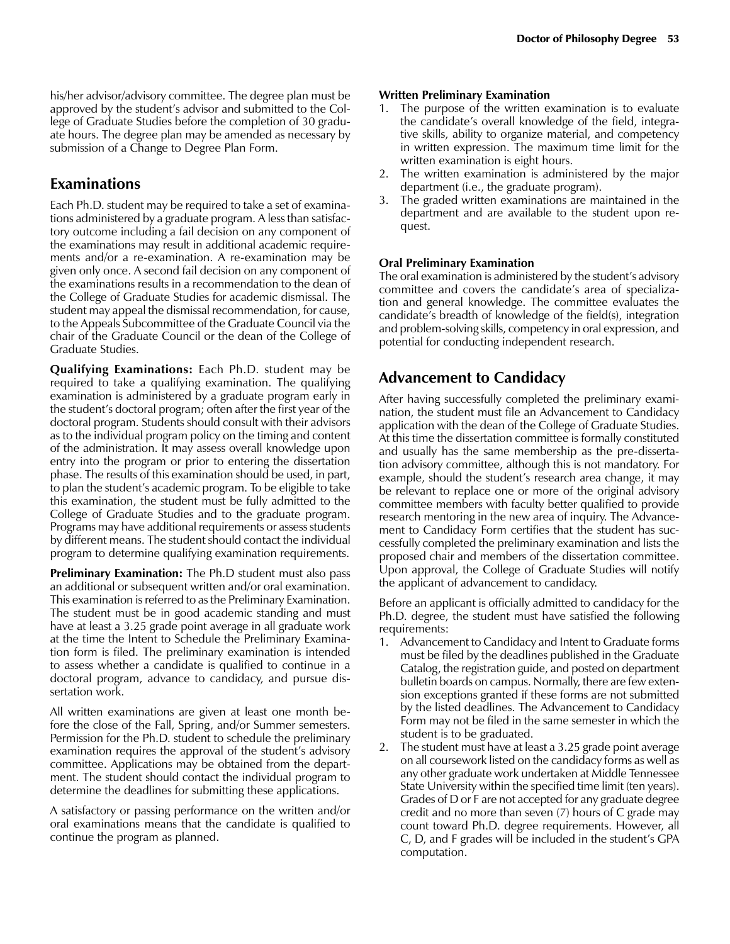his/her advisor/advisory committee. The degree plan must be approved by the student's advisor and submitted to the College of Graduate Studies before the completion of 30 graduate hours. The degree plan may be amended as necessary by submission of a Change to Degree Plan Form.

### **Examinations**

Each Ph.D. student may be required to take a set of examinations administered by a graduate program. A less than satisfactory outcome including a fail decision on any component of the examinations may result in additional academic requirements and/or a re-examination. A re-examination may be given only once. A second fail decision on any component of the examinations results in a recommendation to the dean of the College of Graduate Studies for academic dismissal. The student may appeal the dismissal recommendation, for cause, to the Appeals Subcommittee of the Graduate Council via the chair of the Graduate Council or the dean of the College of Graduate Studies.

**Qualifying Examinations:** Each Ph.D. student may be required to take a qualifying examination. The qualifying examination is administered by a graduate program early in the student's doctoral program; often after the first year of the doctoral program. Students should consult with their advisors as to the individual program policy on the timing and content of the administration. It may assess overall knowledge upon entry into the program or prior to entering the dissertation phase. The results of this examination should be used, in part, to plan the student's academic program. To be eligible to take this examination, the student must be fully admitted to the College of Graduate Studies and to the graduate program. Programs may have additional requirements or assess students by different means. The student should contact the individual program to determine qualifying examination requirements.

**Preliminary Examination:** The Ph.D student must also pass an additional or subsequent written and/or oral examination. This examination is referred to as the Preliminary Examination. The student must be in good academic standing and must have at least a 3.25 grade point average in all graduate work at the time the Intent to Schedule the Preliminary Examination form is filed. The preliminary examination is intended to assess whether a candidate is qualified to continue in a doctoral program, advance to candidacy, and pursue dissertation work.

All written examinations are given at least one month before the close of the Fall, Spring, and/or Summer semesters. Permission for the Ph.D. student to schedule the preliminary examination requires the approval of the student's advisory committee. Applications may be obtained from the department. The student should contact the individual program to determine the deadlines for submitting these applications.

A satisfactory or passing performance on the written and/or oral examinations means that the candidate is qualified to continue the program as planned.

#### **Written Preliminary Examination**

- 1. The purpose of the written examination is to evaluate the candidate's overall knowledge of the field, integrative skills, ability to organize material, and competency in written expression. The maximum time limit for the written examination is eight hours.
- 2. The written examination is administered by the major department (i.e., the graduate program).
- 3. The graded written examinations are maintained in the department and are available to the student upon request.

#### **Oral Preliminary Examination**

The oral examination is administered by the student's advisory committee and covers the candidate's area of specialization and general knowledge. The committee evaluates the candidate's breadth of knowledge of the field(s), integration and problem-solving skills, competency in oral expression, and potential for conducting independent research.

#### **Advancement to Candidacy**

After having successfully completed the preliminary examination, the student must file an Advancement to Candidacy application with the dean of the College of Graduate Studies. At this time the dissertation committee is formally constituted and usually has the same membership as the pre-dissertation advisory committee, although this is not mandatory. For example, should the student's research area change, it may be relevant to replace one or more of the original advisory committee members with faculty better qualified to provide research mentoring in the new area of inquiry. The Advancement to Candidacy Form certifies that the student has successfully completed the preliminary examination and lists the proposed chair and members of the dissertation committee. Upon approval, the College of Graduate Studies will notify the applicant of advancement to candidacy.

Before an applicant is officially admitted to candidacy for the Ph.D. degree, the student must have satisfied the following requirements:

- 1. Advancement to Candidacy and Intent to Graduate forms must be filed by the deadlines published in the Graduate Catalog, the registration guide, and posted on department bulletin boards on campus. Normally, there are few extension exceptions granted if these forms are not submitted by the listed deadlines. The Advancement to Candidacy Form may not be filed in the same semester in which the student is to be graduated.
- 2. The student must have at least a 3.25 grade point average on all coursework listed on the candidacy forms as well as any other graduate work undertaken at Middle Tennessee State University within the specified time limit (ten years). Grades of D or F are not accepted for any graduate degree credit and no more than seven (7) hours of C grade may count toward Ph.D. degree requirements. However, all C, D, and F grades will be included in the student's GPA computation.